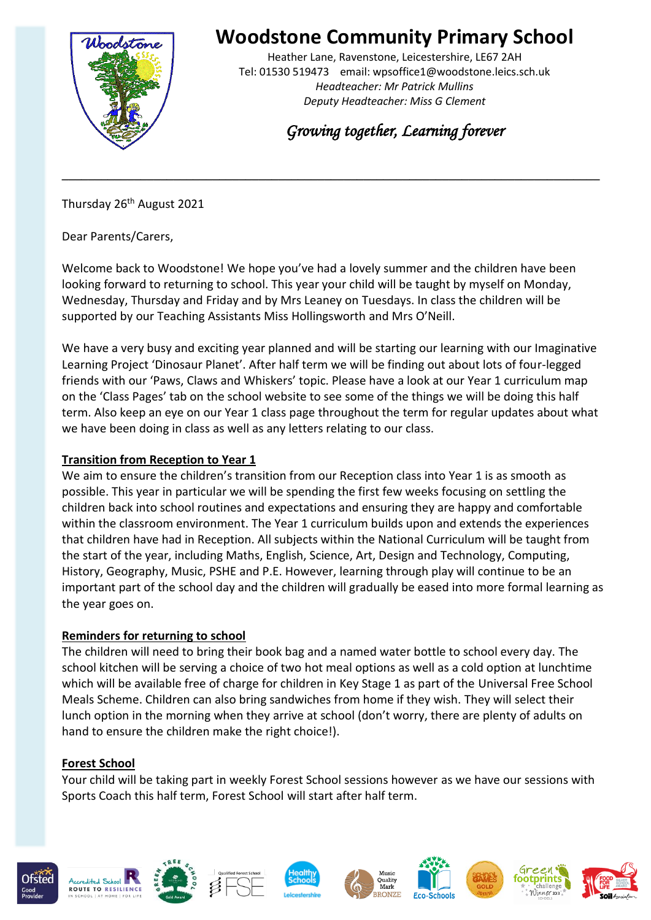

# **Woodstone Community Primary School**

Heather Lane, Ravenstone, Leicestershire, LE67 2AH Tel: 01530 519473 email: wpsoffice1@woodstone.leics.sch.uk *Headteacher: Mr Patrick Mullins Deputy Headteacher: Miss G Clement*

*Growing together, Learning forever* 

Thursday 26<sup>th</sup> August 2021

Dear Parents/Carers,

Welcome back to Woodstone! We hope you've had a lovely summer and the children have been looking forward to returning to school. This year your child will be taught by myself on Monday, Wednesday, Thursday and Friday and by Mrs Leaney on Tuesdays. In class the children will be supported by our Teaching Assistants Miss Hollingsworth and Mrs O'Neill.

**\_\_\_\_\_\_\_\_\_\_\_\_\_\_\_\_\_\_\_\_\_\_\_\_\_\_\_\_\_\_\_\_\_\_\_\_\_\_\_\_\_\_\_\_\_\_\_\_\_\_\_\_\_\_\_\_\_\_\_\_\_\_\_\_\_\_\_\_\_\_\_\_\_\_\_\_\_\_\_\_\_\_**

We have a very busy and exciting year planned and will be starting our learning with our Imaginative Learning Project 'Dinosaur Planet'. After half term we will be finding out about lots of four-legged friends with our 'Paws, Claws and Whiskers' topic. Please have a look at our Year 1 curriculum map on the 'Class Pages' tab on the school website to see some of the things we will be doing this half term. Also keep an eye on our Year 1 class page throughout the term for regular updates about what we have been doing in class as well as any letters relating to our class.

#### **Transition from Reception to Year 1**

We aim to ensure the children's transition from our Reception class into Year 1 is as smooth as possible. This year in particular we will be spending the first few weeks focusing on settling the children back into school routines and expectations and ensuring they are happy and comfortable within the classroom environment. The Year 1 curriculum builds upon and extends the experiences that children have had in Reception. All subjects within the National Curriculum will be taught from the start of the year, including Maths, English, Science, Art, Design and Technology, Computing, History, Geography, Music, PSHE and P.E. However, learning through play will continue to be an important part of the school day and the children will gradually be eased into more formal learning as the year goes on.

#### **Reminders for returning to school**

The children will need to bring their book bag and a named water bottle to school every day. The school kitchen will be serving a choice of two hot meal options as well as a cold option at lunchtime which will be available free of charge for children in Key Stage 1 as part of the Universal Free School Meals Scheme. Children can also bring sandwiches from home if they wish. They will select their lunch option in the morning when they arrive at school (don't worry, there are plenty of adults on hand to ensure the children make the right choice!).

#### **Forest School**

Your child will be taking part in weekly Forest School sessions however as we have our sessions with Sports Coach this half term, Forest School will start after half term.